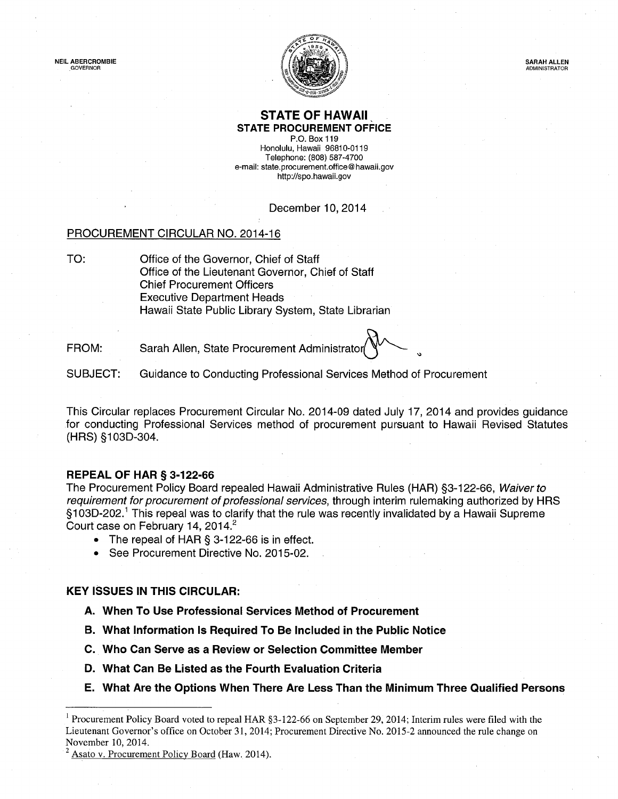

### STATE OF HAWAII STATE PROCUREMENT OFFICE

P.O. Box 119 Honolulu, Hawaii 96810-0119 Telephone: (808) 587-4700 e-mail: state.procurement.office@ hawaii.gov http://spo.hawaii.gov

### December 10, 2014

### PROCUREMENT CIRCULAR NO. 2014-16

TO: Office of the Governor, Chief of Staff Office of the Lieutenant Governor, Chief of Staff Chief Procurement Officers Executive Department Heads Hawaii State Public Library System, State Librarian

FROM: Sarah Allen, State Procurement Administrator

SUBJECT: Guidance to Conducting Professional Services Method of Procurement

This Circular replaces Procurement Circular No. 2014-09 dated July 17, 2014 and provides guidance for conducting Professional Services method of procurement pursuant to Hawaii Revised Statutes (HRS) §103D-304.

### REPEAL OF HAR § 3-122-66

The Procurement Policy Board repealed Hawaii Administrative Rules (HAR) §3-122-66, Waiver to requirement for procurement of professional services, through interim rulemaking authorized by HRS §103D-202.<sup>1</sup> This repeal was to clarify that the rule was recently invalidated by a Hawaii Supreme Court case on February 14, 2014.<sup>2</sup>

- The repeal of HAR § 3-122-66 is in effect.
- See Procurement Directive No. 2015-02.

### KEY ISSUES IN THIS CIRCULAR:

- A. When To Use Professional Services Method of Procurement
- B. What Information Is Required To Be Included in the Public Notice
- C. Who Can Serve as a Review or Selection Committee Member
- D. What Can Be Listed as the Fourth Evaluation Criteria
- E. What Are the Options When There Are Less Than the Minimum Three Qualified Persons

Asato v. Procurement Policy Board (Haw. 2014).

<sup>&</sup>lt;sup>1</sup> Procurement Policy Board voted to repeal HAR §3-122-66 on September 29, 2014; Interim rules were filed with the Lieutenant Governor's office on October 31, 2014; Procurement Directive No. 2015-2 announced the rule change on November 10, 2014.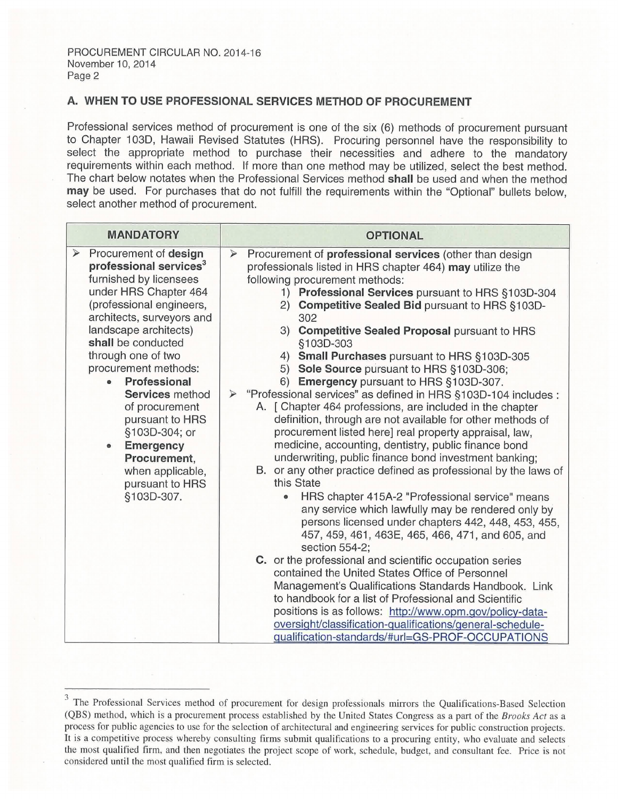# A. WHEN TO USE PROFESSIONAL SERVICES METHOD OF PROCUREMENT

| PROCUREMENT CIRCULAR NO. 2014-16<br>November 10, 2014<br>Page 2<br>A. WHEN TO USE PROFESSIONAL SERVICES METHOD OF PROCUREMENT<br>Professional services method of procurement is one of the six (6) methods of procurement pursuant<br>to Chapter 103D, Hawaii Revised Statutes (HRS). Procuring personnel have the responsibility to<br>select the appropriate method to purchase their necessities and adhere to the mandatory<br>requirements within each method. If more than one method may be utilized, select the best method.<br>The chart below notates when the Professional Services method shall be used and when the method<br>may be used. For purchases that do not fulfill the requirements within the "Optional" bullets below,<br>select another method of procurement. |                                                                                                                                                                                                                                                                                                                                                                                                                                                                                                                                                                                                                                                                                                                                                                                                                                                                                                                                                                                                                                                                                                                                                                                                                                                                                                                                                                                                                                                                                                                                                                                                                                 |  |  |  |  |
|------------------------------------------------------------------------------------------------------------------------------------------------------------------------------------------------------------------------------------------------------------------------------------------------------------------------------------------------------------------------------------------------------------------------------------------------------------------------------------------------------------------------------------------------------------------------------------------------------------------------------------------------------------------------------------------------------------------------------------------------------------------------------------------|---------------------------------------------------------------------------------------------------------------------------------------------------------------------------------------------------------------------------------------------------------------------------------------------------------------------------------------------------------------------------------------------------------------------------------------------------------------------------------------------------------------------------------------------------------------------------------------------------------------------------------------------------------------------------------------------------------------------------------------------------------------------------------------------------------------------------------------------------------------------------------------------------------------------------------------------------------------------------------------------------------------------------------------------------------------------------------------------------------------------------------------------------------------------------------------------------------------------------------------------------------------------------------------------------------------------------------------------------------------------------------------------------------------------------------------------------------------------------------------------------------------------------------------------------------------------------------------------------------------------------------|--|--|--|--|
| <b>MANDATORY</b>                                                                                                                                                                                                                                                                                                                                                                                                                                                                                                                                                                                                                                                                                                                                                                         | <b>OPTIONAL</b>                                                                                                                                                                                                                                                                                                                                                                                                                                                                                                                                                                                                                                                                                                                                                                                                                                                                                                                                                                                                                                                                                                                                                                                                                                                                                                                                                                                                                                                                                                                                                                                                                 |  |  |  |  |
| Procurement of design<br>⋗<br>professional services <sup>3</sup><br>furnished by licensees<br>under HRS Chapter 464<br>(professional engineers,<br>architects, surveyors and<br>landscape architects)<br>shall be conducted<br>through one of two<br>procurement methods:<br>Professional<br>۰<br>Services method<br>of procurement<br>pursuant to HRS<br>§103D-304; or<br><b>Emergency</b><br>۰<br>Procurement,<br>when applicable,<br>pursuant to HRS<br>§103D-307.                                                                                                                                                                                                                                                                                                                    | Procurement of professional services (other than design<br>⋗<br>professionals listed in HRS chapter 464) may utilize the<br>following procurement methods:<br>1) Professional Services pursuant to HRS §103D-304<br>2) Competitive Sealed Bid pursuant to HRS §103D-<br>302<br>3) Competitive Sealed Proposal pursuant to HRS<br>§103D-303<br>Small Purchases pursuant to HRS §103D-305<br>4)<br>Sole Source pursuant to HRS §103D-306;<br>5)<br>6) Emergency pursuant to HRS §103D-307.<br>"Professional services" as defined in HRS §103D-104 includes :<br>$\geqslant$<br>A. [ Chapter 464 professions, are included in the chapter<br>definition, through are not available for other methods of<br>procurement listed here] real property appraisal, law,<br>medicine, accounting, dentistry, public finance bond<br>underwriting, public finance bond investment banking;<br>B. or any other practice defined as professional by the laws of<br>this State<br>HRS chapter 415A-2 "Professional service" means<br>$\bullet$<br>any service which lawfully may be rendered only by<br>persons licensed under chapters 442, 448, 453, 455,<br>457, 459, 461, 463E, 465, 466, 471, and 605, and<br>section 554-2;<br>C. or the professional and scientific occupation series<br>contained the United States Office of Personnel<br>Management's Qualifications Standards Handbook. Link<br>to handbook for a list of Professional and Scientific<br>positions is as follows: http://www.opm.gov/policy-data-<br>oversight/classification-qualifications/general-schedule-<br>gualification-standards/#url=GS-PROF-OCCUPATIONS |  |  |  |  |

<sup>&</sup>lt;sup>3</sup> The Professional Services method of procurement for design professionals mirrors the Qualifications-Based Selection (QBS) method, which is a procurement process established by the United States Congress as a part of the Brooks Act as a process for public agencies to use for the selection of architectural and engineering services for public construction projects. It is <sup>a</sup> competitive process whereby consulting firms submit qualifications to <sup>a</sup> procuring entity, who evaluate and selects the most qualified firm, and then negotiates the project scope of work, schedule, budget, and consultant fee. Price is not considered until the most qualified firm is selected.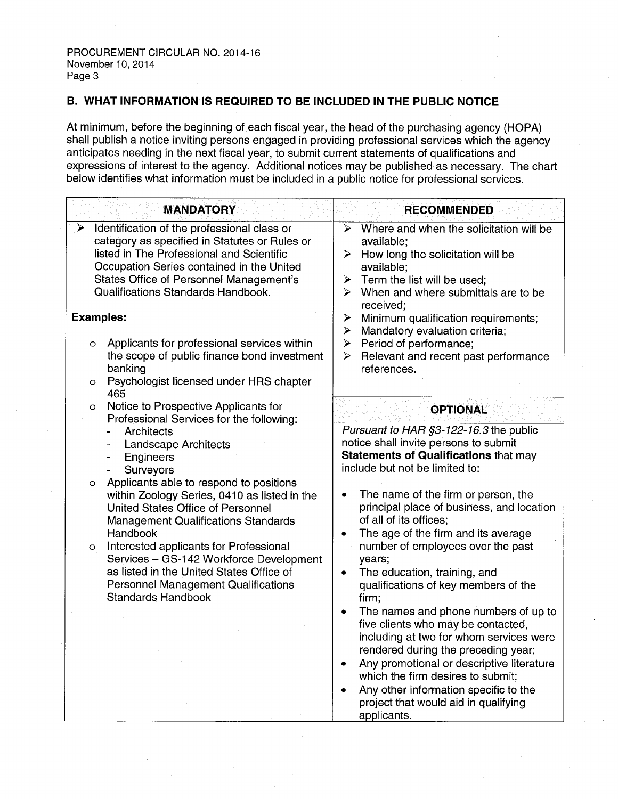# B. WHAT INFORMATION IS REQUIRED TO BE INCLUDED IN THE PUBLIC NOTICE

At minimum, before the beginning of each fiscal year, the head of the purchasing agency (HOPA) shall publish <sup>a</sup> notice inviting persons engaged in providing professional services which the agency anticipates needing in the next fiscal year, to submit current statements of qualifications and expressions of interest to the agency. Additional notices may be published as necessary. The chart below identifies what information must be included in <sup>a</sup> public notice for professional services.

| <b>MANDATORY</b>                                                                                                                                                                                                                                                                                                                                                                                                  | <b>RECOMMENDED</b>                                                                                                                                                                                                                                                                                                                                                                    |  |
|-------------------------------------------------------------------------------------------------------------------------------------------------------------------------------------------------------------------------------------------------------------------------------------------------------------------------------------------------------------------------------------------------------------------|---------------------------------------------------------------------------------------------------------------------------------------------------------------------------------------------------------------------------------------------------------------------------------------------------------------------------------------------------------------------------------------|--|
| Identification of the professional class or<br>➤<br>category as specified in Statutes or Rules or<br>listed in The Professional and Scientific<br>Occupation Series contained in the United<br>States Office of Personnel Management's<br>Qualifications Standards Handbook.<br><b>Examples:</b>                                                                                                                  | Where and when the solicitation will be<br>⋗<br>available;<br>How long the solicitation will be<br>⋗<br>available;<br>Term the list will be used;<br>$\blacktriangleright$<br>$\triangleright$ When and where submittals are to be<br>received;<br>Minimum qualification requirements;<br>➤                                                                                           |  |
| Applicants for professional services within<br>$\circ$<br>the scope of public finance bond investment<br>banking<br>Psychologist licensed under HRS chapter<br>$\circ$                                                                                                                                                                                                                                            | Mandatory evaluation criteria;<br>⋗<br>Period of performance;<br>➤<br>Relevant and recent past performance<br>⋗<br>references.                                                                                                                                                                                                                                                        |  |
| 465<br>Notice to Prospective Applicants for<br>O<br>Professional Services for the following:<br>Architects<br>$\overline{\phantom{a}}$<br>Landscape Architects<br>$\overline{\phantom{a}}$<br>Engineers<br>$\qquad \qquad \blacksquare$<br>Surveyors<br>$\blacksquare$<br>Applicants able to respond to positions<br>$\circ$<br>within Zoology Series, 0410 as listed in the<br>United States Office of Personnel | <b>OPTIONAL</b><br>Pursuant to HAR §3-122-16.3 the public<br>notice shall invite persons to submit<br><b>Statements of Qualifications that may</b><br>include but not be limited to:<br>The name of the firm or person, the<br>٠<br>principal place of business, and location                                                                                                         |  |
| <b>Management Qualifications Standards</b><br>Handbook<br>Interested applicants for Professional<br>$\circ$<br>Services - GS-142 Workforce Development<br>as listed in the United States Office of<br><b>Personnel Management Qualifications</b><br><b>Standards Handbook</b>                                                                                                                                     | of all of its offices;<br>The age of the firm and its average<br>number of employees over the past<br>years;<br>The education, training, and<br>$\bullet$<br>qualifications of key members of the<br>firm;                                                                                                                                                                            |  |
|                                                                                                                                                                                                                                                                                                                                                                                                                   | The names and phone numbers of up to<br>$\bullet$<br>five clients who may be contacted,<br>including at two for whom services were<br>rendered during the preceding year;<br>Any promotional or descriptive literature<br>$\bullet$<br>which the firm desires to submit;<br>Any other information specific to the<br>$\bullet$<br>project that would aid in qualifying<br>applicants. |  |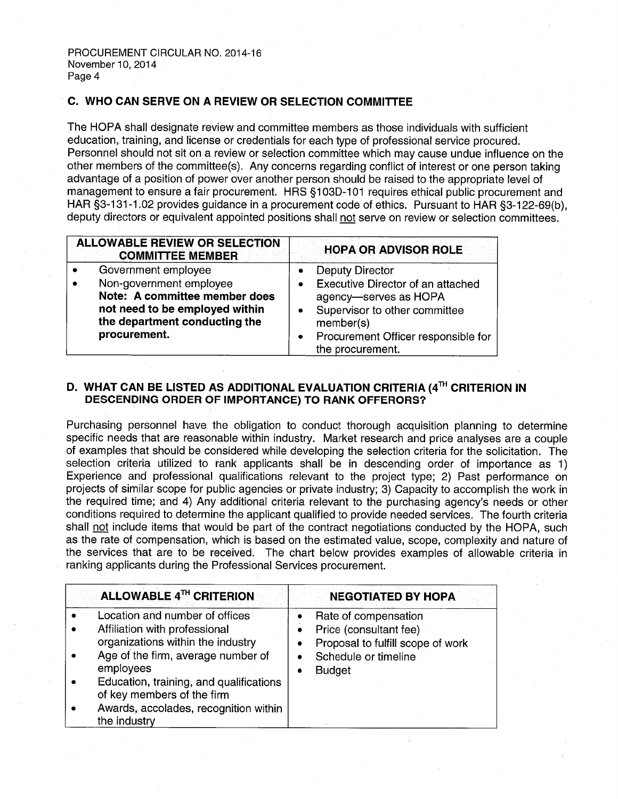# C. WHO CAN SERVE ON A REVIEW OR SELECTION COMMITTEE

The HOPA shall designate review and committee members as those individuals with sufficient education, training, and license or credentials for each type of professional service procured. Personnel should not sit on <sup>a</sup> review or selection committee which may cause undue influence on the other members of the committee(s). Any concerns regarding conflict of interest or one person taking advantage of <sup>a</sup> position of power over another person should be raised to the appropriate level of management to ensure <sup>a</sup> fair procurement. HRS §103D-101 requires ethical public procurement and HAR §3-131-1.02 provides guidance in a procurement code of ethics. Pursuant to HAR §3-122-69(b), deputy directors or equivalent appointed positions shall not serve on review or selection committees.

| <b>ALLOWABLE REVIEW OR SELECTION</b><br><b>COMMITTEE MEMBER</b>                                                                             | <b>HOPA OR ADVISOR ROLE</b>                                                                                                                                              |  |
|---------------------------------------------------------------------------------------------------------------------------------------------|--------------------------------------------------------------------------------------------------------------------------------------------------------------------------|--|
| Government employee                                                                                                                         | <b>Deputy Director</b>                                                                                                                                                   |  |
| Non-government employee<br>Note: A committee member does<br>not need to be employed within<br>the department conducting the<br>procurement. | Executive Director of an attached<br>agency-serves as HOPA<br>Supervisor to other committee<br>member(s)<br>Procurement Officer responsible for<br>٠<br>the procurement. |  |

# D. WHAT CAN BE LISTED AS ADDITIONAL EVALUATION CRITERIA (4TH CRITERION IN DESCENDING ORDER OF IMPORTANCE) TO RANK OFFERORS?

Purchasing personnel have the obligation to conduct thorough acquisition planning to determine specific needs that are reasonable within industry. Market research and price analyses are <sup>a</sup> couple of examples that should be considered while developing the selection criteria for the solicitation. The selection criteria utilized to rank applicants shall be in descending order of importance as 1) Experience and professional qualifications relevant to the project type; 2) Past performance on projects of similar scope for public agencies or private industry; 3) Capacity to accomplish the work in the required time; and 4) Any additional criteria relevant to the purchasing agency's needs or other conditions required to determine the applicant qualified to provide needed services. The fourth criteria shall not include items that would be part of the contract negotiations conducted by the HOPA, such as the rate of compensation, which is based on the estimated value, scope, complexity and nature of the services that are to be received. The chart below provides examples of allowable criteria in ranking applicants during the Professional Services procurement.

| ALLOWABLE 4TH CRITERION                                                                                                                                                                                                                                                                   | <b>NEGOTIATED BY HOPA</b>                                                                                                                              |  |  |
|-------------------------------------------------------------------------------------------------------------------------------------------------------------------------------------------------------------------------------------------------------------------------------------------|--------------------------------------------------------------------------------------------------------------------------------------------------------|--|--|
| Location and number of offices<br>Affiliation with professional<br>organizations within the industry<br>Age of the firm, average number of<br>employees<br>Education, training, and qualifications<br>of key members of the firm<br>Awards, accolades, recognition within<br>the industry | Rate of compensation<br>Price (consultant fee)<br>$\bullet$<br>Proposal to fulfill scope of work<br>Schedule or timeline<br>$\bullet$<br><b>Budget</b> |  |  |